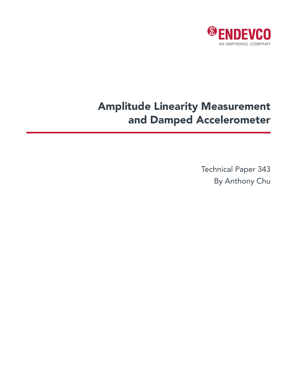

# Amplitude Linearity Measurement and Damped Accelerometer

Technical Paper 343 By Anthony Chu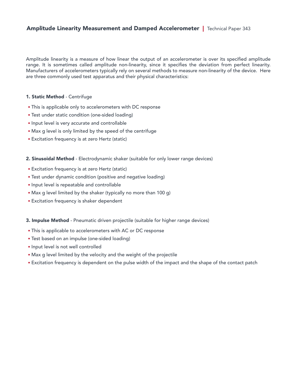Amplitude linearity is a measure of how linear the output of an accelerometer is over its specified amplitude range. It is sometimes called amplitude non-linearity, since it specifies the deviation from perfect linearity. Manufacturers of accelerometers typically rely on several methods to measure non-linearity of the device. Here are three commonly used test apparatus and their physical characteristics:

## 1. Static Method - Centrifuge

- This is applicable only to accelerometers with DC response
- Test under static condition (one-sided loading)
- Input level is very accurate and controllable
- Max g level is only limited by the speed of the centrifuge
- Excitation frequency is at zero Hertz (static)
- 2. Sinusoidal Method Electrodynamic shaker (suitable for only lower range devices)
- Excitation frequency is at zero Hertz (static)
- Test under dynamic condition (positive and negative loading)
- Input level is repeatable and controllable
- Max g level limited by the shaker (typically no more than 100 g)
- Excitation frequency is shaker dependent

### 3. Impulse Method - Pneumatic driven projectile (suitable for higher range devices)

- This is applicable to accelerometers with AC or DC response
- Test based on an impulse (one-sided loading)
- Input level is not well controlled
- Max g level limited by the velocity and the weight of the projectile
- Excitation frequency is dependent on the pulse width of the impact and the shape of the contact patch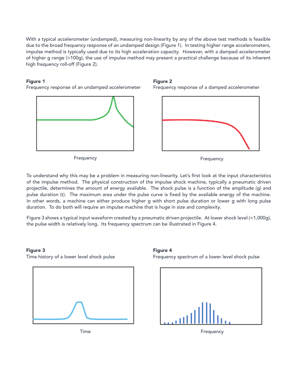With a typical accelerometer (undamped), measuring non-linearity by any of the above test methods is feasible with a typical accelerometer (undamped), measuring non-imeanty by any or the above test methods is reasible<br>due to the broad frequency response of an undamped design (Figure 1). In testing higher range accelerometers, impulse method is typically used due to its high acceleration capacity. However, with a damped accelerometer of higher g range (>100g), the use of impulse method may present a practical challenge because of its inherent high frequency roll-off (Figure 2). With a typical accelerometer (undamped) measuring non-linearity by any of the above test methods is feasible present a proposed because  $\mu$  is inherent high frequency roll-off (Figure 2).

#### Figure 1 *Figure 1*

Frequency response of an undamped accelerometer *Figure 1 Frequency response of an undamped accelerometer Frequency response of an undamped accelerometer Figure 1 Figure 1*



Frequency Frequency *Frequency Frequency*







To understand why this may be a problem in measuring non-linearity. Let's first look at the input To understand why this may be a problem in measuring non-linearity. Let's first look at the input of the impulse method. The physical construction of the impulse shock machine, typically a pneumatic driven projectile, determines the amount of energy available. The shock pulse is a function of the amplitude (g) and pulse duration (t). The maximum area under the pulse curve is fixed by the available energy of the machine.<br>
1. The state of the state of the state of the state of the state of the state of the state of the state of th In other words, a machine can either produce higher g with short pulse duration or lower g with long pulse duration. To do both will require an impulse machine that is huge in size and complexity. To understand why this may be a problem in measuring non-linearity. Let's first look at the input characteristics g with short pulse duration or lower g with long pulse duration. To do both will require an impulse

Figure 3 shows a typical input waveform created by a pneumatic driven projectile. At lower shock level (<1,000g), the pulse width is relatively long. Its frequency spectrum can be illustrated in Figure 4. g with short pulse duration or lower g with long pulse duration. To do both will require an impulse

#### *Figure 3* Figure 3 *Figure 3*

*Time history of a lower level shock pulse Time history of a lower level shock pulse* Time history of a lower level shock pulse *Figure 3 Figure 3*









Time **Figure 1 Time Figure 1**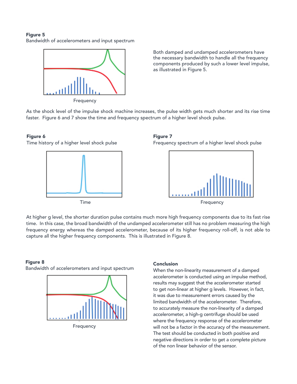Figure 5 Bandwidth of accelerometers and input spectrum *Figure 5 Bandwidth of accelerometers and input spectrum*



Both damped and undamped accelerometers have Both damped and undamped accelerometers the necessary bandwidth to handle all the frequency components produced by such a lower level impulse, as illustrated in Figure 5.

As the shock level of the impulse shock machine increases, the pulse width gets much shorter and its rise time<br>. faster. Figure 6 and 7 show the time and frequency spectrum of a higher level shock pulse.

## Figure 6

Time history of a higher level shock pulse *Figure 6 Figure 6*



#### *F*<br>Pouces *Frequency spectrum of a higher level shock pulse* Frequency spectrum of a higher level shock pulse *Figure 7* Figure 7  $\mathbf 6$  the shock machine increases, the pulse shock machine increases, the pulse width gets much shock much shock much shock much shock much shock much shock much shock much shock much shock much shock much shock much sh rist time faster. Figure 6 and 7 shock the time and frequency spectrum of a higher level shock



of its higher frequency roll-off, is not able to capture all the higher frequency components. This is illustrated in Figure 8. At higher g level, the shorter duration pulse contains much more high frequency components due At higher g level, the shorter duration pulse contains much more high frequency components due At higher g level, the shorter duration pulse contains much more high frequency components due to its fast rise capture all the higher frequency components. This is illustrated in Figure 8. time. In this case, the broad bandwidth of the undamped accelerometer still has no problem measuring the high frequency energy whereas the damped accelerometer, because of its higher frequency roll-off, is not able to  $\sim$  its higher frequency roll-off, is not able to capture all the higher frequency components. This is is not able to capture all the higher frequency components. This is is in the higher frequency components. This is in





## Conclusion

negative directions in order to get a complete picture weganie a magazing and should be conducted to get a complete picture of the non linear behavior of the sensor. When the non-linearity measurement of a damped when the non-linearity measurement of a dam<br>accelerometer is conducted using an impulse n decelerometer is conducted using an impaise means to get non-linear at higher g levels. However, in fact, it was due to measurement errors caused by the limited bandwidth of the accelerometer. Therefore, to accurately measure the non-linearity of a damped accelerometer, a high-g centrifuge should be used where the frequency response of the accelerometer will not be a factor in the accuracy of the measurement. The test should be conducted in both positive and accelerometer is conducted using an impulse method, results may suggest that the accelerometer started non-linear behavior of the sensor.